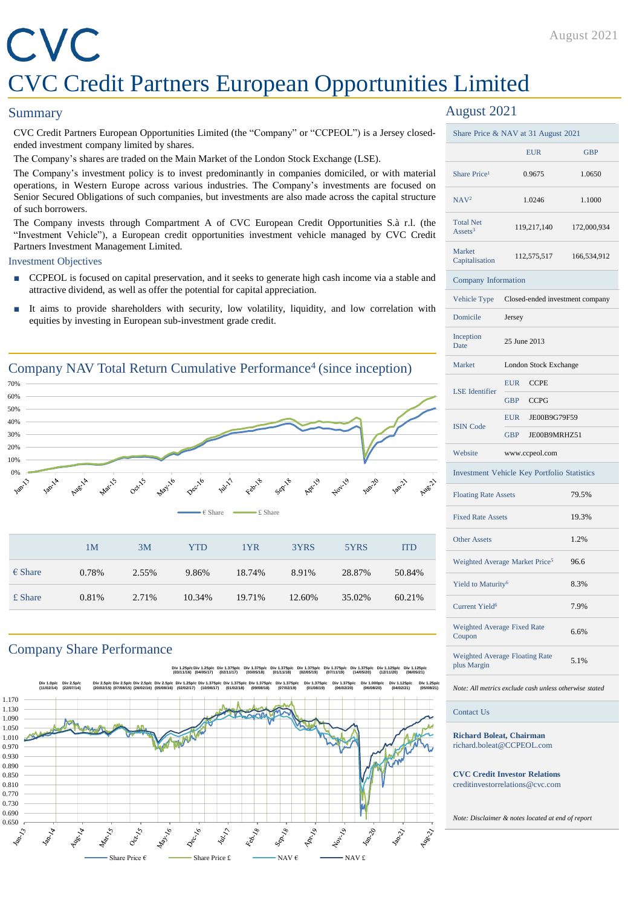#### August 2021

## CVC CVC Credit Partners European Opportunities Limited

#### **Summary**

CVC Credit Partners European Opportunities Limited (the "Company" or "CCPEOL") is a Jersey closedended investment company limited by shares.

The Company's shares are traded on the Main Market of the London Stock Exchange (LSE).

The Company's investment policy is to invest predominantly in companies domiciled, or with material operations, in Western Europe across various industries. The Company's investments are focused on Senior Secured Obligations of such companies, but investments are also made across the capital structure of such borrowers.

The Company invests through Compartment A of CVC European Credit Opportunities S.à r.l. (the "Investment Vehicle"), a European credit opportunities investment vehicle managed by CVC Credit Partners Investment Management Limited.

#### Investment Objectives

- CCPEOL is focused on capital preservation, and it seeks to generate high cash income via a stable and attractive dividend, as well as offer the potential for capital appreciation.
- It aims to provide shareholders with security, low volatility, liquidity, and low correlation with equities by investing in European sub-investment grade credit.



#### Company Share Performance



#### August 2021

| Share Price & NAV at 31 August 2021           |                                             |             |  |  |  |
|-----------------------------------------------|---------------------------------------------|-------------|--|--|--|
|                                               | <b>EUR</b>                                  | <b>GBP</b>  |  |  |  |
| Share Price <sup>1</sup>                      | 0.9675                                      | 1.0650      |  |  |  |
| NAV <sup>2</sup>                              | 1.0246                                      | 1.1000      |  |  |  |
| <b>Total Net</b><br>Assets <sup>3</sup>       | 119,217,140                                 | 172,000,934 |  |  |  |
| Market<br>Capitalisation                      | 112,575,517                                 | 166,534,912 |  |  |  |
|                                               | Company Information                         |             |  |  |  |
| Vehicle Type                                  | Closed-ended investment company             |             |  |  |  |
| Domicile                                      | Jersey                                      |             |  |  |  |
| Inception<br><b>Date</b>                      | 25 June 2013                                |             |  |  |  |
| Market                                        | London Stock Exchange                       |             |  |  |  |
| <b>LSE</b> Identifier                         | <b>EUR</b><br><b>CCPE</b>                   |             |  |  |  |
|                                               | <b>GBP</b><br><b>CCPG</b>                   |             |  |  |  |
| <b>ISIN Code</b>                              | JE00B9G79F59<br><b>EUR</b>                  |             |  |  |  |
|                                               | <b>GBP</b><br>JE00B9MRHZ51                  |             |  |  |  |
| Website                                       | www.ccpeol.com                              |             |  |  |  |
|                                               | Investment Vehicle Key Portfolio Statistics |             |  |  |  |
| <b>Floating Rate Assets</b>                   |                                             | 79.5%       |  |  |  |
| <b>Fixed Rate Assets</b>                      |                                             | 19.3%       |  |  |  |
| <b>Other Assets</b>                           |                                             | 1.2%        |  |  |  |
| Weighted Average Market Price <sup>5</sup>    |                                             | 96.6        |  |  |  |
| Yield to Maturity <sup>6</sup>                |                                             | 8.3%        |  |  |  |
| <b>Current Yield<sup>6</sup></b>              |                                             | 7.9%        |  |  |  |
| Weighted Average Fixed Rate<br>Coupon         |                                             | 6.6%        |  |  |  |
| Weighted Average Floating Rate<br>plus Margin |                                             | 5.1%        |  |  |  |

*Note: All metrics exclude cash unless otherwise stated*

Contact Us

**Richard Boleat, Chairman** richard.boleat@CCPEOL.com

**CVC Credit Investor Relations** creditinvestorrelations@cvc.com

*Note: Disclaimer & notes located at end of report*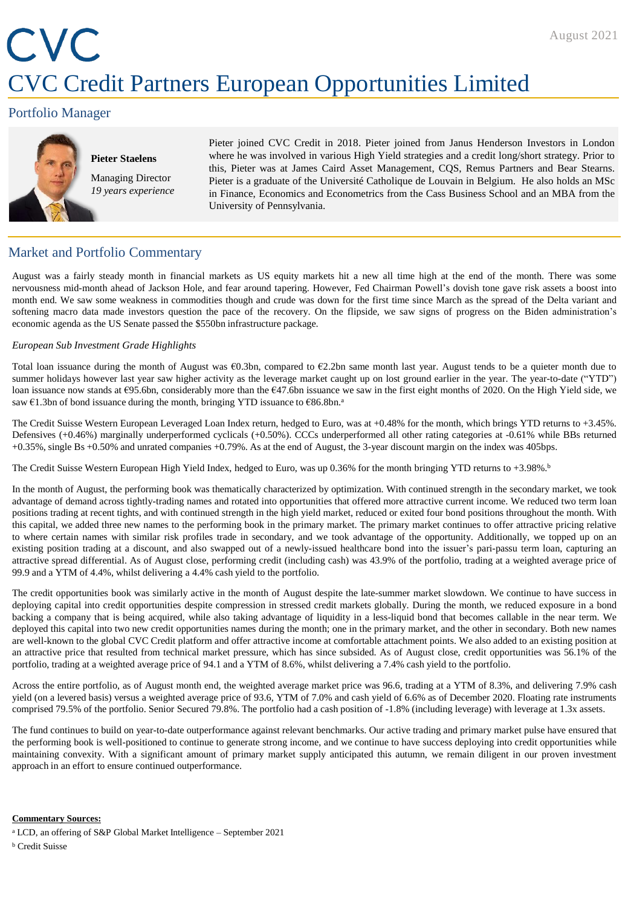# CVC CVC Credit Partners European Opportunities Limited

#### Portfolio Manager



#### **Pieter Staelens** Managing Director *19 years experience*

Pieter joined CVC Credit in 2018. Pieter joined from Janus Henderson Investors in London where he was involved in various High Yield strategies and a credit long/short strategy. Prior to this, Pieter was at James Caird Asset Management, CQS, Remus Partners and Bear Stearns. Pieter is a graduate of the Université Catholique de Louvain in Belgium. He also holds an MSc in Finance, Economics and Econometrics from the Cass Business School and an MBA from the University of Pennsylvania.

#### Market and Portfolio Commentary

August was a fairly steady month in financial markets as US equity markets hit a new all time high at the end of the month. There was some nervousness mid-month ahead of Jackson Hole, and fear around tapering. However, Fed Chairman Powell's dovish tone gave risk assets a boost into month end. We saw some weakness in commodities though and crude was down for the first time since March as the spread of the Delta variant and softening macro data made investors question the pace of the recovery. On the flipside, we saw signs of progress on the Biden administration's economic agenda as the US Senate passed the \$550bn infrastructure package.

#### *European Sub Investment Grade Highlights*

Total loan issuance during the month of August was €0.3bn, compared to €2.2bn same month last year. August tends to be a quieter month due to summer holidays however last year saw higher activity as the leverage market caught up on lost ground earlier in the year. The year-to-date ("YTD") loan issuance now stands at €95.6bn, considerably more than the €47.6bn issuance we saw in the first eight months of 2020. On the High Yield side, we saw €1.3bn of bond issuance during the month, bringing YTD issuance to €86.8bn.<sup>a</sup>

The Credit Suisse Western European Leveraged Loan Index return, hedged to Euro, was at +0.48% for the month, which brings YTD returns to +3.45%. Defensives (+0.46%) marginally underperformed cyclicals (+0.50%). CCCs underperformed all other rating categories at -0.61% while BBs returned +0.35%, single Bs +0.50% and unrated companies +0.79%. As at the end of August, the 3-year discount margin on the index was 405bps.

The Credit Suisse Western European High Yield Index, hedged to Euro, was up 0.36% for the month bringing YTD returns to +3.98%. b

In the month of August, the performing book was thematically characterized by optimization. With continued strength in the secondary market, we took advantage of demand across tightly-trading names and rotated into opportunities that offered more attractive current income. We reduced two term loan positions trading at recent tights, and with continued strength in the high yield market, reduced or exited four bond positions throughout the month. With this capital, we added three new names to the performing book in the primary market. The primary market continues to offer attractive pricing relative to where certain names with similar risk profiles trade in secondary, and we took advantage of the opportunity. Additionally, we topped up on an existing position trading at a discount, and also swapped out of a newly-issued healthcare bond into the issuer's pari-passu term loan, capturing an attractive spread differential. As of August close, performing credit (including cash) was 43.9% of the portfolio, trading at a weighted average price of 99.9 and a YTM of 4.4%, whilst delivering a 4.4% cash yield to the portfolio.

The credit opportunities book was similarly active in the month of August despite the late-summer market slowdown. We continue to have success in deploying capital into credit opportunities despite compression in stressed credit markets globally. During the month, we reduced exposure in a bond backing a company that is being acquired, while also taking advantage of liquidity in a less-liquid bond that becomes callable in the near term. We deployed this capital into two new credit opportunities names during the month; one in the primary market, and the other in secondary. Both new names are well-known to the global CVC Credit platform and offer attractive income at comfortable attachment points. We also added to an existing position at an attractive price that resulted from technical market pressure, which has since subsided. As of August close, credit opportunities was 56.1% of the portfolio, trading at a weighted average price of 94.1 and a YTM of 8.6%, whilst delivering a 7.4% cash yield to the portfolio.

Across the entire portfolio, as of August month end, the weighted average market price was 96.6, trading at a YTM of 8.3%, and delivering 7.9% cash yield (on a levered basis) versus a weighted average price of 93.6, YTM of 7.0% and cash yield of 6.6% as of December 2020. Floating rate instruments comprised 79.5% of the portfolio. Senior Secured 79.8%. The portfolio had a cash position of -1.8% (including leverage) with leverage at 1.3x assets.

The fund continues to build on year-to-date outperformance against relevant benchmarks. Our active trading and primary market pulse have ensured that the performing book is well-positioned to continue to generate strong income, and we continue to have success deploying into credit opportunities while maintaining convexity. With a significant amount of primary market supply anticipated this autumn, we remain diligent in our proven investment approach in an effort to ensure continued outperformance.

#### **Commentary Sources:**

- <sup>a</sup> LCD, an offering of S&P Global Market Intelligence September 2021
- <sup>b</sup> Credit Suisse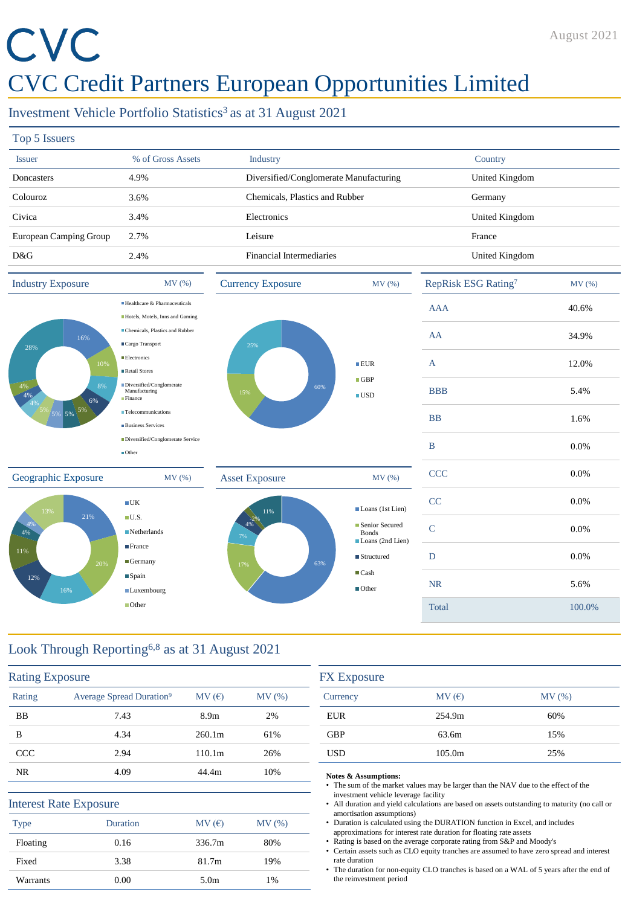# CVC

### CVC Credit Partners European Opportunities Limited

#### Investment Vehicle Portfolio Statistics<sup>3</sup> as at 31 August 2021

| Top 5 Issuers                       |                                                                                                   |                                        |                                                      |                                 |        |
|-------------------------------------|---------------------------------------------------------------------------------------------------|----------------------------------------|------------------------------------------------------|---------------------------------|--------|
| <b>Issuer</b>                       | % of Gross Assets                                                                                 | Industry                               |                                                      | Country                         |        |
| Doncasters                          | 4.9%                                                                                              | Diversified/Conglomerate Manufacturing |                                                      | <b>United Kingdom</b>           |        |
| Colouroz                            | 3.6%                                                                                              | Chemicals, Plastics and Rubber         |                                                      | Germany                         |        |
| Civica                              | 3.4%                                                                                              | Electronics                            |                                                      | <b>United Kingdom</b>           |        |
| European Camping Group              | 2.7%                                                                                              | Leisure                                |                                                      | France                          |        |
| D&G                                 | 2.4%                                                                                              | <b>Financial Intermediaries</b>        |                                                      | <b>United Kingdom</b>           |        |
| <b>Industry Exposure</b>            | MV(%)                                                                                             | <b>Currency Exposure</b>               | MV (%)                                               | RepRisk ESG Rating <sup>7</sup> | MV (%) |
|                                     | Healthcare & Pharmaceuticals<br>Hotels, Motels, Inns and Gaming                                   |                                        |                                                      | <b>AAA</b>                      | 40.6%  |
| 16%<br>28%                          | Chemicals, Plastics and Rubber<br>■Cargo Transport                                                | 25%                                    | AA                                                   | 34.9%                           |        |
| 10%                                 | <b>Electronics</b><br>Retail Stores                                                               |                                        | EUR<br>$\Box$ GBP                                    | $\mathbf{A}$                    | 12.0%  |
| 496 496 596 596 598 598<br>8%<br>6% | $\label{thm:thm:main} \blacksquare \textsc{Diversified/Conglomerate}$<br>Manufacturing<br>Finance | 60%<br>15%                             | $\blacksquare$ USD                                   | <b>BBB</b>                      | 5.4%   |
|                                     | <b>Telecommunications</b><br><b>Business Services</b>                                             |                                        |                                                      | <b>BB</b>                       | 1.6%   |
|                                     | Diversified/Conglomerate Service<br>$\blacksquare$ Other                                          |                                        |                                                      | $\bf{B}$                        | 0.0%   |
| Geographic Exposure                 | MV(%)                                                                                             | <b>Asset Exposure</b>                  | MV (%)                                               | <b>CCC</b>                      | 0.0%   |
| 13%                                 | $\blacksquare$ UK                                                                                 | 11%                                    | Loans (1st Lien)                                     | CC                              | 0.0%   |
| 21%<br>4%                           | $\blacksquare$ U.S.<br>$\blacksquare$ Netherlands                                                 | $\geq 2\%$<br>4%<br>7%                 | ■ Senior Secured<br><b>Bonds</b><br>Loans (2nd Lien) | $\mathbf C$                     | 0.0%   |
| 11%<br>20%                          | $\blacksquare$ France<br>$\blacksquare$ Germany                                                   | 63%<br>17%                             | ■ Structured                                         | D                               | 0.0%   |
| 12%<br>16%                          | $\blacksquare$ Spain<br>$\blacksquare$ Luxembourg                                                 |                                        | $\blacksquare$ Cash<br>$\blacksquare$ Other          | <b>NR</b>                       | 5.6%   |
|                                     | $\blacksquare$ Other                                                                              |                                        |                                                      | Total                           | 100.0% |

#### Look Through Reporting6,8 as at 31 August 2021

| <b>Rating Exposure</b> |                                      |                  |        |
|------------------------|--------------------------------------|------------------|--------|
| Rating                 | Average Spread Duration <sup>9</sup> | MV(E)            | MV (%) |
| <b>BB</b>              | 7.43                                 | 8.9 <sub>m</sub> | 2%     |
| B                      | 4.34                                 | 260.1m           | 61%    |
| <b>CCC</b>             | 2.94                                 | 110.1m           | 26%    |
| NR.                    | 4.09                                 | 44.4m            | 10%    |
|                        | <b>Interest Rate Exposure</b>        |                  |        |
| <b>Type</b>            | Duration                             | MV(E)            | MV(%)  |
| Floating               | 0.16                                 | 336.7m           | 80%    |
| Fixed                  | 3.38                                 | 81.7m            | 19%    |
| Warrants               | 0.00                                 | 5.0 <sub>m</sub> | 1%     |

| <b>FX</b> Exposure |        |       |  |  |
|--------------------|--------|-------|--|--|
| Currency           | MV(E)  | MV(%) |  |  |
| <b>EUR</b>         | 254.9m | 60%   |  |  |
| <b>GBP</b>         | 63.6m  | 15%   |  |  |
| USD                | 105.0m | 25%   |  |  |

#### **Notes & Assumptions:**

- The sum of the market values may be larger than the NAV due to the effect of the investment vehicle leverage facility
- All duration and yield calculations are based on assets outstanding to maturity (no call or amortisation assumptions)
- Duration is calculated using the DURATION function in Excel, and includes approximations for interest rate duration for floating rate assets
- Rating is based on the average corporate rating from S&P and Moody's
- Certain assets such as CLO equity tranches are assumed to have zero spread and interest rate duration
- The duration for non-equity CLO tranches is based on a WAL of 5 years after the end of the reinvestment period